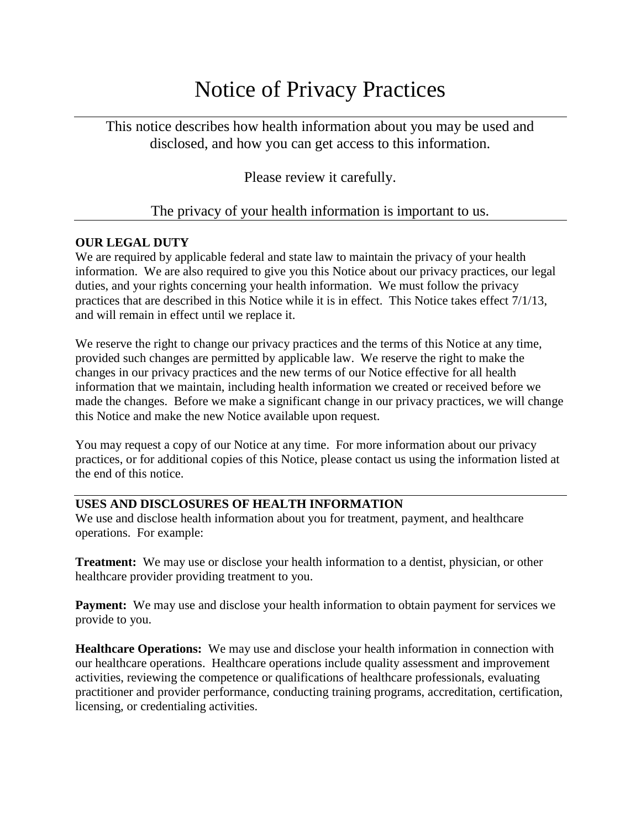# Notice of Privacy Practices

This notice describes how health information about you may be used and disclosed, and how you can get access to this information.

Please review it carefully.

# The privacy of your health information is important to us.

### **OUR LEGAL DUTY**

We are required by applicable federal and state law to maintain the privacy of your health information. We are also required to give you this Notice about our privacy practices, our legal duties, and your rights concerning your health information. We must follow the privacy practices that are described in this Notice while it is in effect. This Notice takes effect 7/1/13, and will remain in effect until we replace it.

We reserve the right to change our privacy practices and the terms of this Notice at any time, provided such changes are permitted by applicable law. We reserve the right to make the changes in our privacy practices and the new terms of our Notice effective for all health information that we maintain, including health information we created or received before we made the changes. Before we make a significant change in our privacy practices, we will change this Notice and make the new Notice available upon request.

You may request a copy of our Notice at any time. For more information about our privacy practices, or for additional copies of this Notice, please contact us using the information listed at the end of this notice.

## **USES AND DISCLOSURES OF HEALTH INFORMATION**

We use and disclose health information about you for treatment, payment, and healthcare operations. For example:

**Treatment:** We may use or disclose your health information to a dentist, physician, or other healthcare provider providing treatment to you.

**Payment:** We may use and disclose your health information to obtain payment for services we provide to you.

**Healthcare Operations:** We may use and disclose your health information in connection with our healthcare operations. Healthcare operations include quality assessment and improvement activities, reviewing the competence or qualifications of healthcare professionals, evaluating practitioner and provider performance, conducting training programs, accreditation, certification, licensing, or credentialing activities.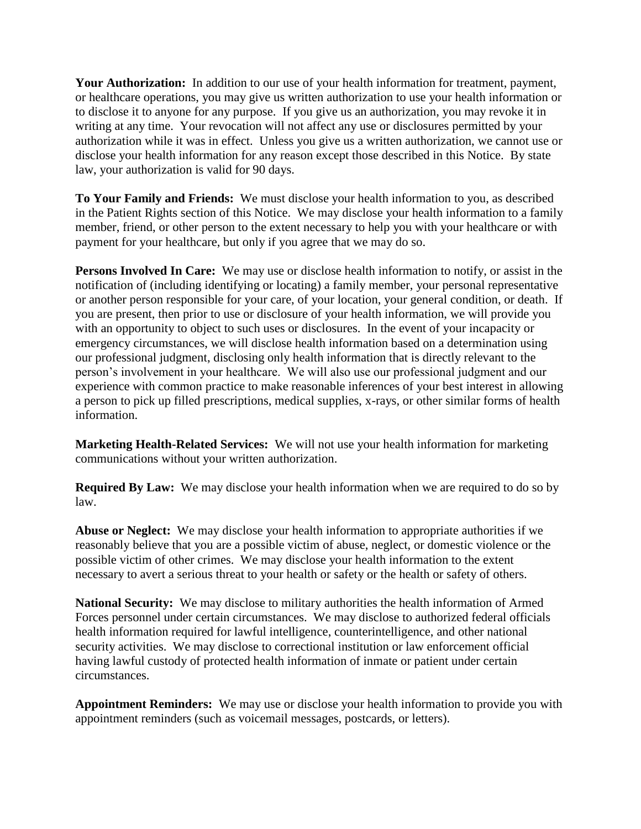**Your Authorization:** In addition to our use of your health information for treatment, payment, or healthcare operations, you may give us written authorization to use your health information or to disclose it to anyone for any purpose. If you give us an authorization, you may revoke it in writing at any time. Your revocation will not affect any use or disclosures permitted by your authorization while it was in effect. Unless you give us a written authorization, we cannot use or disclose your health information for any reason except those described in this Notice. By state law, your authorization is valid for 90 days.

**To Your Family and Friends:** We must disclose your health information to you, as described in the Patient Rights section of this Notice. We may disclose your health information to a family member, friend, or other person to the extent necessary to help you with your healthcare or with payment for your healthcare, but only if you agree that we may do so.

**Persons Involved In Care:** We may use or disclose health information to notify, or assist in the notification of (including identifying or locating) a family member, your personal representative or another person responsible for your care, of your location, your general condition, or death. If you are present, then prior to use or disclosure of your health information, we will provide you with an opportunity to object to such uses or disclosures. In the event of your incapacity or emergency circumstances, we will disclose health information based on a determination using our professional judgment, disclosing only health information that is directly relevant to the person's involvement in your healthcare. We will also use our professional judgment and our experience with common practice to make reasonable inferences of your best interest in allowing a person to pick up filled prescriptions, medical supplies, x-rays, or other similar forms of health information.

**Marketing Health-Related Services:** We will not use your health information for marketing communications without your written authorization.

**Required By Law:** We may disclose your health information when we are required to do so by law.

**Abuse or Neglect:** We may disclose your health information to appropriate authorities if we reasonably believe that you are a possible victim of abuse, neglect, or domestic violence or the possible victim of other crimes. We may disclose your health information to the extent necessary to avert a serious threat to your health or safety or the health or safety of others.

**National Security:** We may disclose to military authorities the health information of Armed Forces personnel under certain circumstances. We may disclose to authorized federal officials health information required for lawful intelligence, counterintelligence, and other national security activities. We may disclose to correctional institution or law enforcement official having lawful custody of protected health information of inmate or patient under certain circumstances.

**Appointment Reminders:** We may use or disclose your health information to provide you with appointment reminders (such as voicemail messages, postcards, or letters).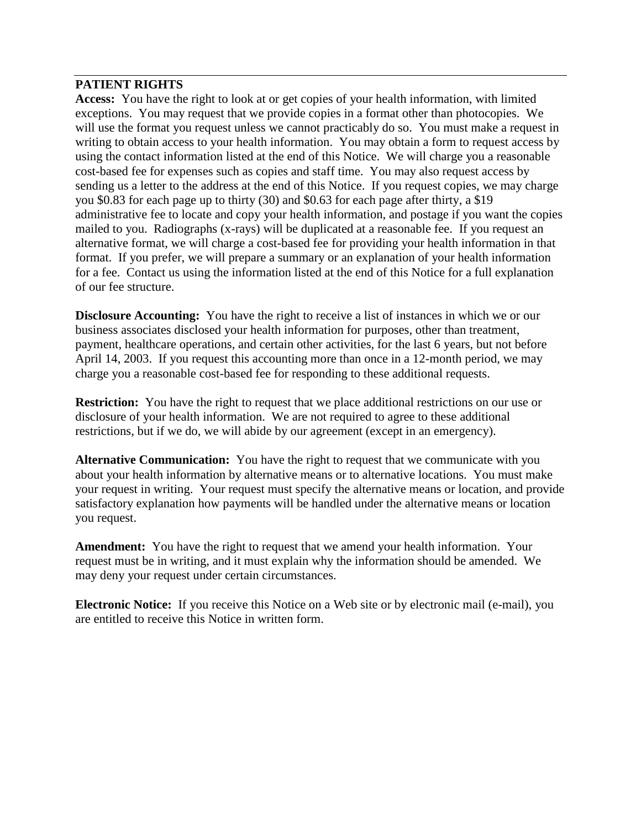#### **PATIENT RIGHTS**

**Access:** You have the right to look at or get copies of your health information, with limited exceptions. You may request that we provide copies in a format other than photocopies. We will use the format you request unless we cannot practicably do so. You must make a request in writing to obtain access to your health information. You may obtain a form to request access by using the contact information listed at the end of this Notice. We will charge you a reasonable cost-based fee for expenses such as copies and staff time. You may also request access by sending us a letter to the address at the end of this Notice. If you request copies, we may charge you \$0.83 for each page up to thirty (30) and \$0.63 for each page after thirty, a \$19 administrative fee to locate and copy your health information, and postage if you want the copies mailed to you. Radiographs (x-rays) will be duplicated at a reasonable fee. If you request an alternative format, we will charge a cost-based fee for providing your health information in that format. If you prefer, we will prepare a summary or an explanation of your health information for a fee. Contact us using the information listed at the end of this Notice for a full explanation of our fee structure.

**Disclosure Accounting:** You have the right to receive a list of instances in which we or our business associates disclosed your health information for purposes, other than treatment, payment, healthcare operations, and certain other activities, for the last 6 years, but not before April 14, 2003. If you request this accounting more than once in a 12-month period, we may charge you a reasonable cost-based fee for responding to these additional requests.

**Restriction:** You have the right to request that we place additional restrictions on our use or disclosure of your health information. We are not required to agree to these additional restrictions, but if we do, we will abide by our agreement (except in an emergency).

**Alternative Communication:** You have the right to request that we communicate with you about your health information by alternative means or to alternative locations. You must make your request in writing. Your request must specify the alternative means or location, and provide satisfactory explanation how payments will be handled under the alternative means or location you request.

**Amendment:** You have the right to request that we amend your health information. Your request must be in writing, and it must explain why the information should be amended. We may deny your request under certain circumstances.

**Electronic Notice:** If you receive this Notice on a Web site or by electronic mail (e-mail), you are entitled to receive this Notice in written form.